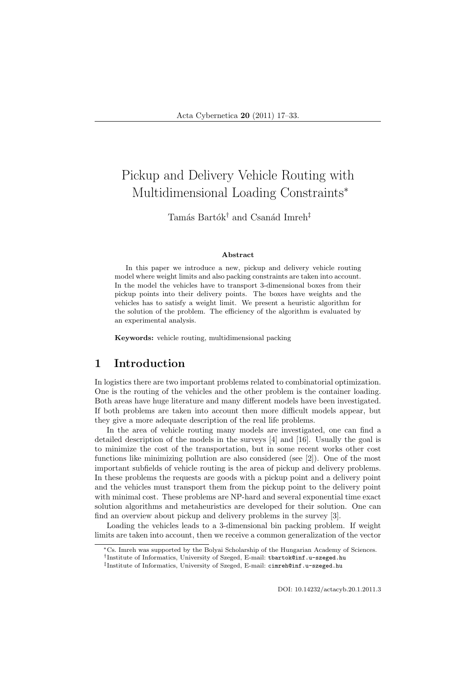# Pickup and Delivery Vehicle Routing with Multidimensional Loading Constraints<sup>∗</sup>

Tamás Bartók<sup>†</sup> and Csanád Imreh<sup>‡</sup>

#### Abstract

In this paper we introduce a new, pickup and delivery vehicle routing model where weight limits and also packing constraints are taken into account. In the model the vehicles have to transport 3-dimensional boxes from their pickup points into their delivery points. The boxes have weights and the vehicles has to satisfy a weight limit. We present a heuristic algorithm for the solution of the problem. The efficiency of the algorithm is evaluated by an experimental analysis.

Keywords: vehicle routing, multidimensional packing

# 1 Introduction

In logistics there are two important problems related to combinatorial optimization. One is the routing of the vehicles and the other problem is the container loading. Both areas have huge literature and many different models have been investigated. If both problems are taken into account then more difficult models appear, but they give a more adequate description of the real life problems.

In the area of vehicle routing many models are investigated, one can find a detailed description of the models in the surveys [4] and [16]. Usually the goal is to minimize the cost of the transportation, but in some recent works other cost functions like minimizing pollution are also considered (see [2]). One of the most important subfields of vehicle routing is the area of pickup and delivery problems. In these problems the requests are goods with a pickup point and a delivery point and the vehicles must transport them from the pickup point to the delivery point with minimal cost. These problems are NP-hard and several exponential time exact solution algorithms and metaheuristics are developed for their solution. One can find an overview about pickup and delivery problems in the survey [3].

Loading the vehicles leads to a 3-dimensional bin packing problem. If weight limits are taken into account, then we receive a common generalization of the vector

DOI: 10.14232/actacyb.20.1.2011.3

<sup>∗</sup>Cs. Imreh was supported by the Bolyai Scholarship of the Hungarian Academy of Sciences.

<sup>†</sup> Institute of Informatics, University of Szeged, E-mail: tbartok@inf.u-szeged.hu

<sup>‡</sup> Institute of Informatics, University of Szeged, E-mail: cimreh@inf.u-szeged.hu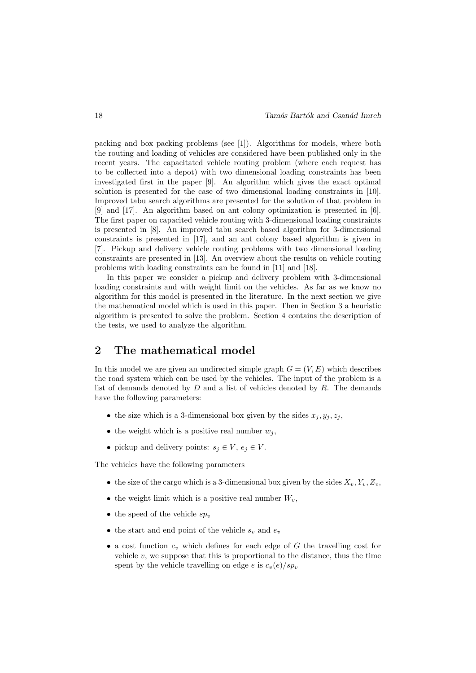packing and box packing problems (see [1]). Algorithms for models, where both the routing and loading of vehicles are considered have been published only in the recent years. The capacitated vehicle routing problem (where each request has to be collected into a depot) with two dimensional loading constraints has been investigated first in the paper [9]. An algorithm which gives the exact optimal solution is presented for the case of two dimensional loading constraints in [10]. Improved tabu search algorithms are presented for the solution of that problem in [9] and [17]. An algorithm based on ant colony optimization is presented in [6]. The first paper on capacited vehicle routing with 3-dimensional loading constraints is presented in [8]. An improved tabu search based algorithm for 3-dimensional constraints is presented in [17], and an ant colony based algorithm is given in [7]. Pickup and delivery vehicle routing problems with two dimensional loading constraints are presented in [13]. An overview about the results on vehicle routing problems with loading constraints can be found in [11] and [18].

In this paper we consider a pickup and delivery problem with 3-dimensional loading constraints and with weight limit on the vehicles. As far as we know no algorithm for this model is presented in the literature. In the next section we give the mathematical model which is used in this paper. Then in Section 3 a heuristic algorithm is presented to solve the problem. Section 4 contains the description of the tests, we used to analyze the algorithm.

# 2 The mathematical model

In this model we are given an undirected simple graph  $G = (V, E)$  which describes the road system which can be used by the vehicles. The input of the problem is a list of demands denoted by  $D$  and a list of vehicles denoted by  $R$ . The demands have the following parameters:

- the size which is a 3-dimensional box given by the sides  $x_j, y_j, z_j$ ,
- the weight which is a positive real number  $w_i$ ,
- pickup and delivery points:  $s_j \in V$ ,  $e_j \in V$ .

The vehicles have the following parameters

- the size of the cargo which is a 3-dimensional box given by the sides  $X_v, Y_v, Z_v,$
- the weight limit which is a positive real number  $W_v$ ,
- the speed of the vehicle  $sp_v$
- the start and end point of the vehicle  $s_v$  and  $e_v$
- a cost function  $c_v$  which defines for each edge of G the travelling cost for vehicle  $v$ , we suppose that this is proportional to the distance, thus the time spent by the vehicle travelling on edge e is  $c_v(e)/sp_v$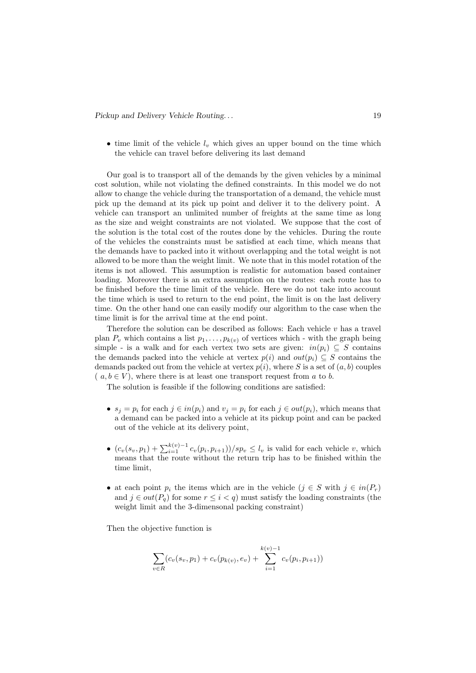• time limit of the vehicle  $l_v$  which gives an upper bound on the time which the vehicle can travel before delivering its last demand

Our goal is to transport all of the demands by the given vehicles by a minimal cost solution, while not violating the defined constraints. In this model we do not allow to change the vehicle during the transportation of a demand, the vehicle must pick up the demand at its pick up point and deliver it to the delivery point. A vehicle can transport an unlimited number of freights at the same time as long as the size and weight constraints are not violated. We suppose that the cost of the solution is the total cost of the routes done by the vehicles. During the route of the vehicles the constraints must be satisfied at each time, which means that the demands have to packed into it without overlapping and the total weight is not allowed to be more than the weight limit. We note that in this model rotation of the items is not allowed. This assumption is realistic for automation based container loading. Moreover there is an extra assumption on the routes: each route has to be finished before the time limit of the vehicle. Here we do not take into account the time which is used to return to the end point, the limit is on the last delivery time. On the other hand one can easily modify our algorithm to the case when the time limit is for the arrival time at the end point.

Therefore the solution can be described as follows: Each vehicle  $v$  has a travel plan  $P_v$  which contains a list  $p_1, \ldots, p_{k(v)}$  of vertices which - with the graph being simple - is a walk and for each vertex two sets are given:  $in(p_i) \subseteq S$  contains the demands packed into the vehicle at vertex  $p(i)$  and  $out(p_i) \subseteq S$  contains the demands packed out from the vehicle at vertex  $p(i)$ , where S is a set of  $(a, b)$  couples  $(a, b \in V)$ , where there is at least one transport request from a to b.

The solution is feasible if the following conditions are satisfied:

- $s_j = p_i$  for each  $j \in in(p_i)$  and  $v_j = p_i$  for each  $j \in out(p_i)$ , which means that a demand can be packed into a vehicle at its pickup point and can be packed out of the vehicle at its delivery point,
- $(c_v(s_v, p_1) + \sum_{i=1}^{k(v)-1} c_v(p_i, p_{i+1}))/sp_v \le l_v$  is valid for each vehicle v, which means that the route without the return trip has to be finished within the time limit,
- at each point  $p_i$  the items which are in the vehicle  $(j \in S$  with  $j \in in(P_r)$ and  $j \in out(P_q)$  for some  $r \leq i < q$ ) must satisfy the loading constraints (the weight limit and the 3-dimensonal packing constraint)

Then the objective function is

$$
\sum_{v \in R} (c_v(s_v, p_1) + c_v(p_{k(v)}, e_v) + \sum_{i=1}^{k(v)-1} c_v(p_i, p_{i+1}))
$$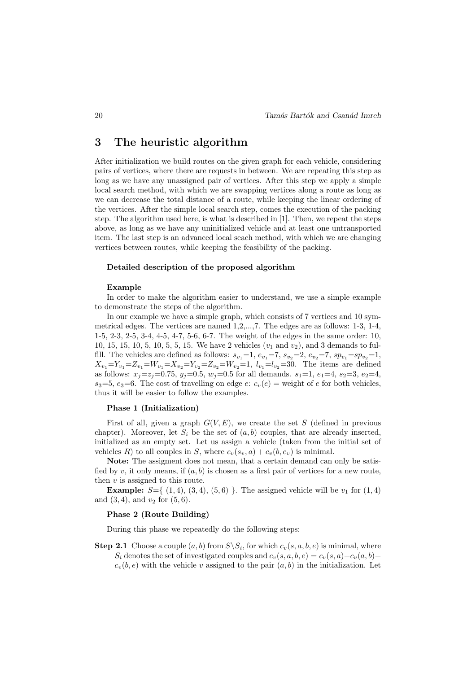### 3 The heuristic algorithm

After initialization we build routes on the given graph for each vehicle, considering pairs of vertices, where there are requests in between. We are repeating this step as long as we have any unassigned pair of vertices. After this step we apply a simple local search method, with which we are swapping vertices along a route as long as we can decrease the total distance of a route, while keeping the linear ordering of the vertices. After the simple local search step, comes the execution of the packing step. The algorithm used here, is what is described in [1]. Then, we repeat the steps above, as long as we have any uninitialized vehicle and at least one untransported item. The last step is an advanced local seach method, with which we are changing vertices between routes, while keeping the feasibility of the packing.

### Detailed description of the proposed algorithm

#### Example

In order to make the algorithm easier to understand, we use a simple example to demonstrate the steps of the algorithm.

In our example we have a simple graph, which consists of 7 vertices and 10 symmetrical edges. The vertices are named 1,2,...,7. The edges are as follows: 1-3, 1-4, 1-5, 2-3, 2-5, 3-4, 4-5, 4-7, 5-6, 6-7. The weight of the edges in the same order: 10, 10, 15, 15, 10, 5, 10, 5, 5, 15. We have 2 vehicles  $(v_1 \text{ and } v_2)$ , and 3 demands to fulfill. The vehicles are defined as follows:  $s_{v_1}=1, e_{v_1}=7, s_{v_2}=2, e_{v_2}=7, sp_{v_1}=sp_{v_2}=1,$  $X_{v_1}=Y_{v_1}=Z_{v_1}=W_{v_1}=X_{v_2}=Y_{v_2}=Z_{v_2}=W_{v_2}=1, l_{v_1}=l_{v_2}=30$ . The items are defined as follows:  $x_i = z_i = 0.75$ ,  $y_i = 0.5$ ,  $w_i = 0.5$  for all demands.  $s_1 = 1$ ,  $e_1 = 4$ ,  $s_2 = 3$ ,  $e_2 = 4$ ,  $s_3=5$ ,  $e_3=6$ . The cost of travelling on edge  $e: c_v(e)$  = weight of e for both vehicles, thus it will be easier to follow the examples.

### Phase 1 (Initialization)

First of all, given a graph  $G(V, E)$ , we create the set S (defined in previous chapter). Moreover, let  $S_i$  be the set of  $(a, b)$  couples, that are already inserted, initialized as an empty set. Let us assign a vehicle (taken from the initial set of vehicles R) to all couples in S, where  $c_v(s_v, a) + c_v(b, e_v)$  is minimal.

Note: The assigment does not mean, that a certain demand can only be satisfied by v, it only means, if  $(a, b)$  is chosen as a first pair of vertices for a new route, then  $v$  is assigned to this route.

**Example:**  $S = \{(1, 4), (3, 4), (5, 6)\}$ . The assigned vehicle will be  $v_1$  for  $(1, 4)$ and  $(3, 4)$ , and  $v_2$  for  $(5, 6)$ .

#### Phase 2 (Route Building)

During this phase we repeatedly do the following steps:

**Step 2.1** Choose a couple  $(a, b)$  from  $S \setminus S_i$ , for which  $c_v(s, a, b, e)$  is minimal, where  $S_i$  denotes the set of investigated couples and  $c_v(s, a, b, e) = c_v(s, a) + c_v(a, b) + c_v(a, b)$  $c_v(b, e)$  with the vehicle v assigned to the pair  $(a, b)$  in the initialization. Let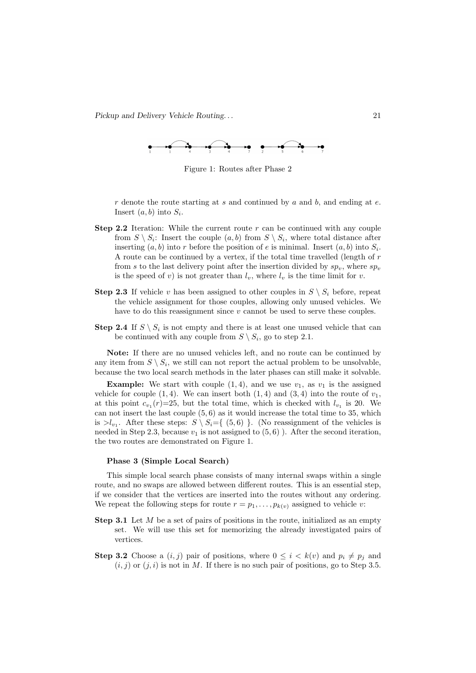

Figure 1: Routes after Phase 2

 $r$  denote the route starting at  $s$  and continued by  $a$  and  $b$ , and ending at  $e$ . Insert  $(a, b)$  into  $S_i$ .

- **Step 2.2** Iteration: While the current route  $r$  can be continued with any couple from  $S \setminus S_i$ : Insert the couple  $(a, b)$  from  $S \setminus S_i$ , where total distance after inserting  $(a, b)$  into r before the position of e is minimal. Insert  $(a, b)$  into  $S_i$ . A route can be continued by a vertex, if the total time travelled (length of r from s to the last delivery point after the insertion divided by  $sp_v$ , where  $sp_v$ is the speed of v) is not greater than  $l_v$ , where  $l_v$  is the time limit for v.
- **Step 2.3** If vehicle v has been assigned to other couples in  $S \setminus S_i$  before, repeat the vehicle assignment for those couples, allowing only unused vehicles. We have to do this reassignment since v cannot be used to serve these couples.
- **Step 2.4** If  $S \setminus S_i$  is not empty and there is at least one unused vehicle that can be continued with any couple from  $S \setminus S_i$ , go to step 2.1.

Note: If there are no unused vehicles left, and no route can be continued by any item from  $S \setminus S_i$ , we still can not report the actual problem to be unsolvable, because the two local search methods in the later phases can still make it solvable.

**Example:** We start with couple  $(1, 4)$ , and we use  $v_1$ , as  $v_1$  is the assigned vehicle for couple  $(1, 4)$ . We can insert both  $(1, 4)$  and  $(3, 4)$  into the route of  $v_1$ , at this point  $c_{v_1}(r)=25$ , but the total time, which is checked with  $l_{v_1}$  is 20. We can not insert the last couple  $(5, 6)$  as it would increase the total time to 35, which is  $>l_{v_1}$ . After these steps:  $S \setminus S_i = \{ (5,6) \}$ . (No reassignment of the vehicles is needed in Step 2.3, because  $v_1$  is not assigned to  $(5, 6)$  ). After the second iteration, the two routes are demonstrated on Figure 1.

### Phase 3 (Simple Local Search)

This simple local search phase consists of many internal swaps within a single route, and no swaps are allowed between different routes. This is an essential step, if we consider that the vertices are inserted into the routes without any ordering. We repeat the following steps for route  $r = p_1, \ldots, p_{k(v)}$  assigned to vehicle v:

- Step 3.1 Let M be a set of pairs of positions in the route, initialized as an empty set. We will use this set for memorizing the already investigated pairs of vertices.
- **Step 3.2** Choose a  $(i, j)$  pair of positions, where  $0 \leq i \leq k(v)$  and  $p_i \neq p_j$  and  $(i, j)$  or  $(j, i)$  is not in M. If there is no such pair of positions, go to Step 3.5.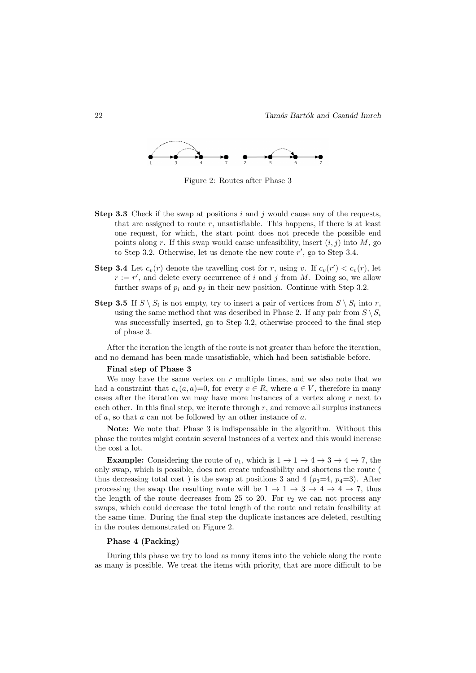

Figure 2: Routes after Phase 3

- Step 3.3 Check if the swap at positions  $i$  and  $j$  would cause any of the requests, that are assigned to route  $r$ , unsatisfiable. This happens, if there is at least one request, for which, the start point does not precede the possible end points along r. If this swap would cause unfeasibility, insert  $(i, j)$  into M, go to Step 3.2. Otherwise, let us denote the new route  $r'$ , go to Step 3.4.
- **Step 3.4** Let  $c_v(r)$  denote the travelling cost for r, using v. If  $c_v(r') < c_v(r)$ , let  $r := r'$ , and delete every occurrence of i and j from M. Doing so, we allow further swaps of  $p_i$  and  $p_j$  in their new position. Continue with Step 3.2.
- **Step 3.5** If  $S \setminus S_i$  is not empty, try to insert a pair of vertices from  $S \setminus S_i$  into r, using the same method that was described in Phase 2. If any pair from  $S \setminus S_i$ was successfully inserted, go to Step 3.2, otherwise proceed to the final step of phase 3.

After the iteration the length of the route is not greater than before the iteration, and no demand has been made unsatisfiable, which had been satisfiable before.

#### Final step of Phase 3

We may have the same vertex on  $r$  multiple times, and we also note that we had a constraint that  $c_v(a, a)=0$ , for every  $v \in R$ , where  $a \in V$ , therefore in many cases after the iteration we may have more instances of a vertex along  $r$  next to each other. In this final step, we iterate through  $r$ , and remove all surplus instances of  $a$ , so that  $a$  can not be followed by an other instance of  $a$ .

Note: We note that Phase 3 is indispensable in the algorithm. Without this phase the routes might contain several instances of a vertex and this would increase the cost a lot.

**Example:** Considering the route of  $v_1$ , which is  $1 \rightarrow 1 \rightarrow 4 \rightarrow 3 \rightarrow 4 \rightarrow 7$ , the only swap, which is possible, does not create unfeasibility and shortens the route ( thus decreasing total cost) is the swap at positions 3 and 4 ( $p_3=4$ ,  $p_4=3$ ). After processing the swap the resulting route will be  $1 \rightarrow 1 \rightarrow 3 \rightarrow 4 \rightarrow 4 \rightarrow 7$ , thus the length of the route decreases from 25 to 20. For  $v_2$  we can not process any swaps, which could decrease the total length of the route and retain feasibility at the same time. During the final step the duplicate instances are deleted, resulting in the routes demonstrated on Figure 2.

### Phase 4 (Packing)

During this phase we try to load as many items into the vehicle along the route as many is possible. We treat the items with priority, that are more difficult to be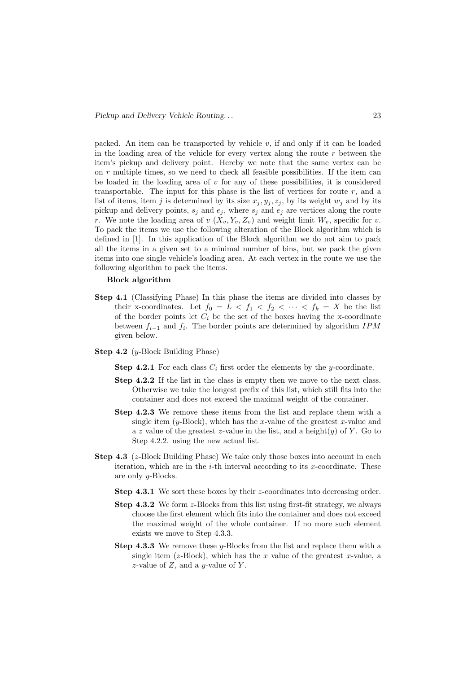packed. An item can be transported by vehicle  $v$ , if and only if it can be loaded in the loading area of the vehicle for every vertex along the route  $r$  between the item's pickup and delivery point. Hereby we note that the same vertex can be on r multiple times, so we need to check all feasible possibilities. If the item can be loaded in the loading area of  $v$  for any of these possibilities, it is considered transportable. The input for this phase is the list of vertices for route  $r$ , and a list of items, item j is determined by its size  $x_j, y_j, z_j$ , by its weight  $w_j$  and by its pickup and delivery points,  $s_j$  and  $e_j$ , where  $s_j$  and  $e_j$  are vertices along the route r. We note the loading area of  $v(X_v, Y_v, Z_v)$  and weight limit  $W_v$ , specific for v. To pack the items we use the following alteration of the Block algorithm which is defined in [1]. In this application of the Block algorithm we do not aim to pack all the items in a given set to a minimal number of bins, but we pack the given items into one single vehicle's loading area. At each vertex in the route we use the following algorithm to pack the items.

#### Block algorithm

- Step 4.1 (Classifying Phase) In this phase the items are divided into classes by their x-coordinates. Let  $f_0 = L < f_1 < f_2 < \cdots < f_k = X$  be the list of the border points let  $C_i$  be the set of the boxes having the x-coordinate between  $f_{i-1}$  and  $f_i$ . The border points are determined by algorithm IPM given below.
- Step 4.2 (y-Block Building Phase)
	- **Step 4.2.1** For each class  $C_i$  first order the elements by the y-coordinate.
	- Step 4.2.2 If the list in the class is empty then we move to the next class. Otherwise we take the longest prefix of this list, which still fits into the container and does not exceed the maximal weight of the container.
	- Step 4.2.3 We remove these items from the list and replace them with a single item  $(y-\text{Block})$ , which has the x-value of the greatest x-value and a z value of the greatest z-value in the list, and a height $(y)$  of Y. Go to Step 4.2.2. using the new actual list.
- **Step 4.3** ( $z$ -Block Building Phase) We take only those boxes into account in each iteration, which are in the  $i$ -th interval according to its x-coordinate. These are only y-Blocks.
	- Step 4.3.1 We sort these boxes by their z-coordinates into decreasing order.
	- Step 4.3.2 We form z-Blocks from this list using first-fit strategy, we always choose the first element which fits into the container and does not exceed the maximal weight of the whole container. If no more such element exists we move to Step 4.3.3.
	- **Step 4.3.3** We remove these  $y$ -Blocks from the list and replace them with a single item ( $z$ -Block), which has the  $x$  value of the greatest  $x$ -value, a z-value of  $Z$ , and a *y*-value of  $Y$ .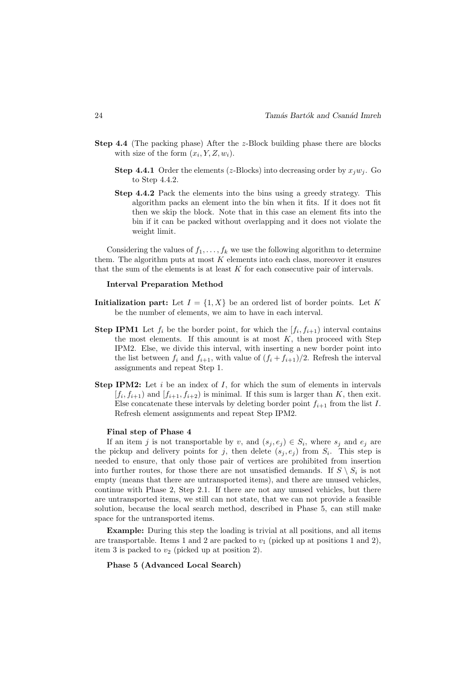- Step 4.4 (The packing phase) After the z-Block building phase there are blocks with size of the form  $(x_i, Y, Z, w_i)$ .
	- **Step 4.4.1** Order the elements (*z*-Blocks) into decreasing order by  $x_iw_i$ . Go to Step 4.4.2.
	- Step 4.4.2 Pack the elements into the bins using a greedy strategy. This algorithm packs an element into the bin when it fits. If it does not fit then we skip the block. Note that in this case an element fits into the bin if it can be packed without overlapping and it does not violate the weight limit.

Considering the values of  $f_1, \ldots, f_k$  we use the following algorithm to determine them. The algorithm puts at most  $K$  elements into each class, moreover it ensures that the sum of the elements is at least  $K$  for each consecutive pair of intervals.

### Interval Preparation Method

- Initialization part: Let  $I = \{1, X\}$  be an ordered list of border points. Let K be the number of elements, we aim to have in each interval.
- **Step IPM1** Let  $f_i$  be the border point, for which the  $[f_i, f_{i+1}]$  interval contains the most elements. If this amount is at most  $K$ , then proceed with Step IPM2. Else, we divide this interval, with inserting a new border point into the list between  $f_i$  and  $f_{i+1}$ , with value of  $(f_i + f_{i+1})/2$ . Refresh the interval assignments and repeat Step 1.
- **Step IPM2:** Let i be an index of I, for which the sum of elements in intervals  $[f_i, f_{i+1}]$  and  $[f_{i+1}, f_{i+2}]$  is minimal. If this sum is larger than K, then exit. Else concatenate these intervals by deleting border point  $f_{i+1}$  from the list I. Refresh element assignments and repeat Step IPM2.

#### Final step of Phase 4

If an item j is not transportable by v, and  $(s_j, e_j) \in S_i$ , where  $s_j$  and  $e_j$  are the pickup and delivery points for j, then delete  $(s_j, e_j)$  from  $S_i$ . This step is needed to ensure, that only those pair of vertices are prohibited from insertion into further routes, for those there are not unsatisfied demands. If  $S \setminus S_i$  is not empty (means that there are untransported items), and there are unused vehicles, continue with Phase 2, Step 2.1. If there are not any unused vehicles, but there are untransported items, we still can not state, that we can not provide a feasible solution, because the local search method, described in Phase 5, can still make space for the untransported items.

Example: During this step the loading is trivial at all positions, and all items are transportable. Items 1 and 2 are packed to  $v_1$  (picked up at positions 1 and 2). item 3 is packed to  $v_2$  (picked up at position 2).

Phase 5 (Advanced Local Search)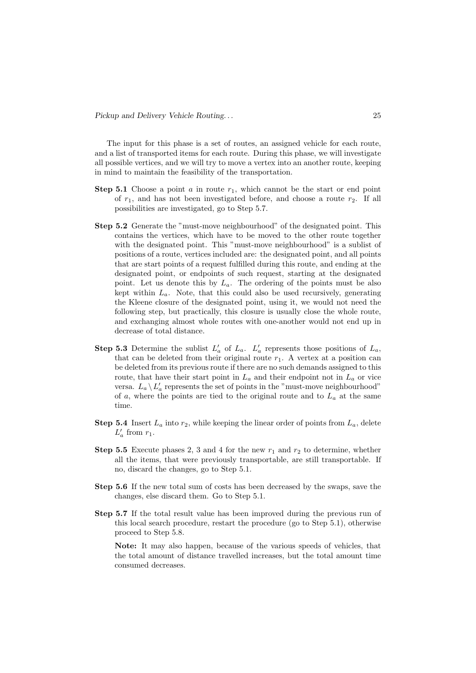The input for this phase is a set of routes, an assigned vehicle for each route, and a list of transported items for each route. During this phase, we will investigate all possible vertices, and we will try to move a vertex into an another route, keeping in mind to maintain the feasibility of the transportation.

- **Step 5.1** Choose a point a in route  $r_1$ , which cannot be the start or end point of  $r_1$ , and has not been investigated before, and choose a route  $r_2$ . If all possibilities are investigated, go to Step 5.7.
- Step 5.2 Generate the "must-move neighbourhood" of the designated point. This contains the vertices, which have to be moved to the other route together with the designated point. This "must-move neighbourhood" is a sublist of positions of a route, vertices included are: the designated point, and all points that are start points of a request fulfilled during this route, and ending at the designated point, or endpoints of such request, starting at the designated point. Let us denote this by  $L_a$ . The ordering of the points must be also kept within  $L_a$ . Note, that this could also be used recursively, generating the Kleene closure of the designated point, using it, we would not need the following step, but practically, this closure is usually close the whole route, and exchanging almost whole routes with one-another would not end up in decrease of total distance.
- **Step 5.3** Determine the sublist  $L'_a$  of  $L_a$ .  $L'_a$  represents those positions of  $L_a$ , that can be deleted from their original route  $r_1$ . A vertex at a position can be deleted from its previous route if there are no such demands assigned to this route, that have their start point in  $L_a$  and their endpoint not in  $L_a$  or vice versa.  $L_a \backslash L'_a$  represents the set of points in the "must-move neighbourhood" of a, where the points are tied to the original route and to  $L_a$  at the same time.
- **Step 5.4** Insert  $L_a$  into  $r_2$ , while keeping the linear order of points from  $L_a$ , delete  $L'_a$  from  $r_1$ .
- **Step 5.5** Execute phases 2, 3 and 4 for the new  $r_1$  and  $r_2$  to determine, whether all the items, that were previously transportable, are still transportable. If no, discard the changes, go to Step 5.1.
- Step 5.6 If the new total sum of costs has been decreased by the swaps, save the changes, else discard them. Go to Step 5.1.
- Step 5.7 If the total result value has been improved during the previous run of this local search procedure, restart the procedure (go to Step 5.1), otherwise proceed to Step 5.8.

Note: It may also happen, because of the various speeds of vehicles, that the total amount of distance travelled increases, but the total amount time consumed decreases.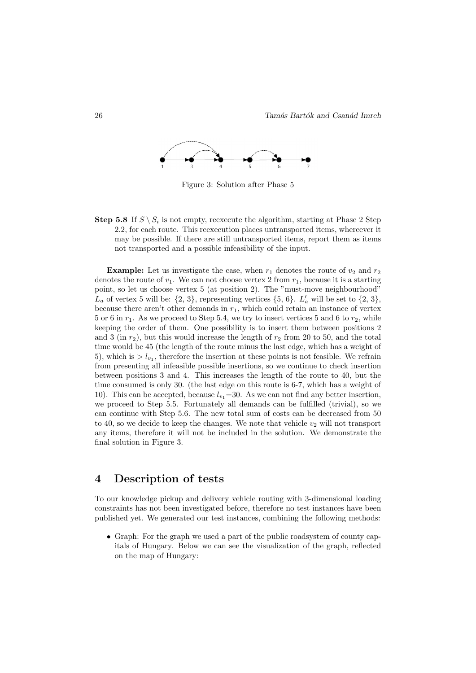

Figure 3: Solution after Phase 5

**Step 5.8** If  $S \setminus S_i$  is not empty, reexecute the algorithm, starting at Phase 2 Step 2.2, for each route. This reexecution places untransported items, whereever it may be possible. If there are still untransported items, report them as items not transported and a possible infeasibility of the input.

**Example:** Let us investigate the case, when  $r_1$  denotes the route of  $v_2$  and  $r_2$ denotes the route of  $v_1$ . We can not choose vertex 2 from  $r_1$ , because it is a starting point, so let us choose vertex 5 (at position 2). The "must-move neighbourhood"  $L_a$  of vertex 5 will be:  $\{2, 3\}$ , representing vertices  $\{5, 6\}$ .  $L'_a$  will be set to  $\{2, 3\}$ , because there aren't other demands in  $r_1$ , which could retain an instance of vertex 5 or 6 in  $r_1$ . As we proceed to Step 5.4, we try to insert vertices 5 and 6 to  $r_2$ , while keeping the order of them. One possibility is to insert them between positions 2 and 3 (in  $r_2$ ), but this would increase the length of  $r_2$  from 20 to 50, and the total time would be 45 (the length of the route minus the last edge, which has a weight of 5), which is  $> l_{v_1}$ , therefore the insertion at these points is not feasible. We refrain from presenting all infeasible possible insertions, so we continue to check insertion between positions 3 and 4. This increases the length of the route to 40, but the time consumed is only 30. (the last edge on this route is 6-7, which has a weight of 10). This can be accepted, because  $l_{v_1}=30$ . As we can not find any better insertion, we proceed to Step 5.5. Fortunately all demands can be fulfilled (trivial), so we can continue with Step 5.6. The new total sum of costs can be decreased from 50 to 40, so we decide to keep the changes. We note that vehicle  $v_2$  will not transport any items, therefore it will not be included in the solution. We demonstrate the final solution in Figure 3.

### 4 Description of tests

To our knowledge pickup and delivery vehicle routing with 3-dimensional loading constraints has not been investigated before, therefore no test instances have been published yet. We generated our test instances, combining the following methods:

• Graph: For the graph we used a part of the public roadsystem of county capitals of Hungary. Below we can see the visualization of the graph, reflected on the map of Hungary: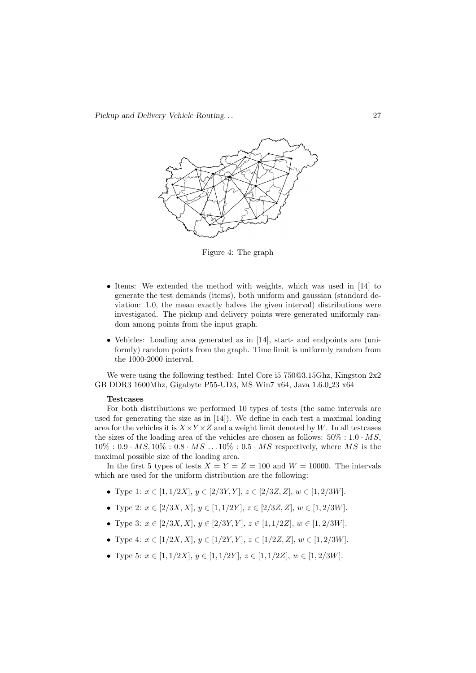

Figure 4: The graph

- Items: We extended the method with weights, which was used in [14] to generate the test demands (items), both uniform and gaussian (standard deviation: 1.0, the mean exactly halves the given interval) distributions were investigated. The pickup and delivery points were generated uniformly random among points from the input graph.
- Vehicles: Loading area generated as in [14], start- and endpoints are (uniformly) random points from the graph. Time limit is uniformly random from the 1000-2000 interval.

We were using the following testbed: Intel Core i5 750@3.15Ghz, Kingston 2x2 GB DDR3 1600Mhz, Gigabyte P55-UD3, MS Win7 x64, Java 1.6.0 23 x64

#### Testcases

For both distributions we performed 10 types of tests (the same intervals are used for generating the size as in [14]). We define in each test a maximal loading area for the vehicles it is  $X \times Y \times Z$  and a weight limit denoted by W. In all testcases the sizes of the loading area of the vehicles are chosen as follows:  $50\% : 1.0 \cdot MS$ ,  $10\% : 0.9 \cdot MS, 10\% : 0.8 \cdot MS \dots 10\% : 0.5 \cdot MS$  respectively, where MS is the maximal possible size of the loading area.

In the first 5 types of tests  $X = Y = Z = 100$  and  $W = 10000$ . The intervals which are used for the uniform distribution are the following:

- Type 1:  $x \in [1, 1/2X], y \in [2/3Y, Y], z \in [2/3Z, Z], w \in [1, 2/3W].$
- Type 2:  $x \in [2/3X, X], y \in [1, 1/2Y], z \in [2/3Z, Z], w \in [1, 2/3W].$
- Type 3:  $x \in [2/3X, X], y \in [2/3Y, Y], z \in [1, 1/2Z], w \in [1, 2/3W].$
- Type 4:  $x \in [1/2X, X], y \in [1/2Y, Y], z \in [1/2Z, Z], w \in [1, 2/3W].$
- Type 5:  $x \in [1, 1/2X], y \in [1, 1/2Y], z \in [1, 1/2Z], w \in [1, 2/3W].$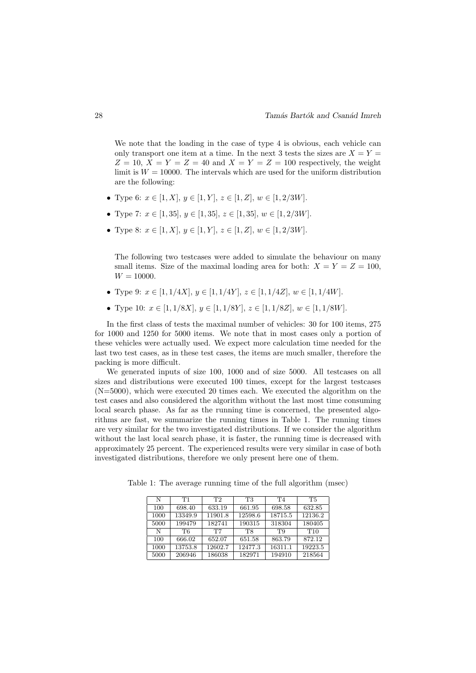We note that the loading in the case of type 4 is obvious, each vehicle can only transport one item at a time. In the next 3 tests the sizes are  $X = Y =$  $Z = 10$ ,  $X = Y = Z = 40$  and  $X = Y = Z = 100$  respectively, the weight limit is  $W = 10000$ . The intervals which are used for the uniform distribution are the following:

- Type 6:  $x \in [1, X], y \in [1, Y], z \in [1, Z], w \in [1, 2/3W].$
- Type 7:  $x \in [1, 35], y \in [1, 35], z \in [1, 35], w \in [1, 2/3W].$
- Type 8:  $x \in [1, X], y \in [1, Y], z \in [1, Z], w \in [1, 2/3W].$

The following two testcases were added to simulate the behaviour on many small items. Size of the maximal loading area for both:  $X = Y = Z = 100$ ,  $W = 10000.$ 

- Type 9:  $x \in [1, 1/4X], y \in [1, 1/4Y], z \in [1, 1/4Z], w \in [1, 1/4W].$
- Type 10:  $x \in [1, 1/8X], y \in [1, 1/8Y], z \in [1, 1/8Z], w \in [1, 1/8W].$

In the first class of tests the maximal number of vehicles: 30 for 100 items, 275 for 1000 and 1250 for 5000 items. We note that in most cases only a portion of these vehicles were actually used. We expect more calculation time needed for the last two test cases, as in these test cases, the items are much smaller, therefore the packing is more difficult.

We generated inputs of size 100, 1000 and of size 5000. All testcases on all sizes and distributions were executed 100 times, except for the largest testcases (N=5000), which were executed 20 times each. We executed the algorithm on the test cases and also considered the algorithm without the last most time consuming local search phase. As far as the running time is concerned, the presented algorithms are fast, we summarize the running times in Table 1. The running times are very similar for the two investigated distributions. If we consider the algorithm without the last local search phase, it is faster, the running time is decreased with approximately 25 percent. The experienced results were very similar in case of both investigated distributions, therefore we only present here one of them.

| N    | T1      | T <sub>2</sub> | Т3        | T4      | <b>T5</b> |
|------|---------|----------------|-----------|---------|-----------|
| 100  | 698.40  | 633.19         | 661.95    | 698.58  | 632.85    |
| 1000 | 13349.9 | 11901.8        | 12598.6   | 18715.5 | 12136.2   |
| 5000 | 199479  | 182741         | 190315    | 318304  | 180405    |
| N    | T6      | T7             | <b>T8</b> | T9      | T10       |
| 100  | 666.02  | 652.07         | 651.58    | 863.79  | 872.12    |
| 1000 | 13753.8 | 12602.7        | 12477.3   | 16311.1 | 19223.5   |
| 5000 | 206946  | 186038         | 182971    | 194910  | 218564    |

Table 1: The average running time of the full algorithm (msec)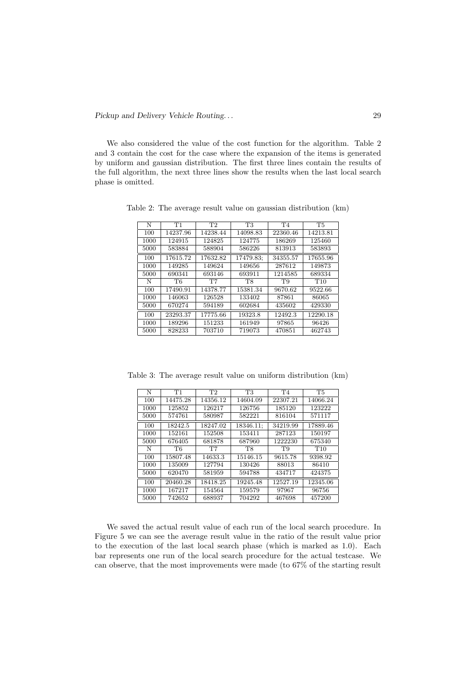We also considered the value of the cost function for the algorithm. Table 2 and 3 contain the cost for the case where the expansion of the items is generated by uniform and gaussian distribution. The first three lines contain the results of the full algorithm, the next three lines show the results when the last local search phase is omitted.

| N    | T1       | T <sub>2</sub> | <b>T3</b> | T <sub>4</sub> | T <sub>5</sub>  |
|------|----------|----------------|-----------|----------------|-----------------|
| 100  | 14237.96 | 14238.44       | 14098.83  | 22360.46       | 14213.81        |
| 1000 | 124915   | 124825         | 124775    | 186269         | 125460          |
| 5000 | 583884   | 588904         | 586226    | 813913         | 583893          |
| 100  | 17615.72 | 17632.82       | 17479.83; | 34355.57       | 17655.96        |
| 1000 | 149285   | 149624         | 149656    | 287612         | 149873          |
| 5000 | 690341   | 693146         | 693911    | 1214585        | 689334          |
| N    | T6       | T7             | <b>T8</b> | T9             | T <sub>10</sub> |
| 100  | 17490.91 | 14378.77       | 15381.34  | 9670.62        | 9522.66         |
| 1000 | 146063   | 126528         | 133402    | 87861          | 86065           |
| 5000 | 670274   | 594189         | 602684    | 435602         | 429330          |
| 100  | 23293.37 | 17775.66       | 19323.8   | 12492.3        | 12290.18        |
| 1000 | 189296   | 151233         | 161949    | 97865          | 96426           |
| 5000 | 828233   | 703710         | 719073    | 470851         | 462743          |

Table 2: The average result value on gaussian distribution (km)

| N    | T1        | T <sub>2</sub> | T3        | T <sub>4</sub> | <b>T5</b>       |
|------|-----------|----------------|-----------|----------------|-----------------|
| 100  | 14475.28  | 14356.12       | 14604.09  | 22307.21       | 14066.24        |
| 1000 | 125852    | 126217         | 126756    | 185120         | 123222          |
| 5000 | 574761    | 580987         | 582221    | 816104         | 571117          |
| 100  | 18242.5   | 18247.02       | 18346.11; | 34219.99       | 17889.46        |
| 1000 | 152161    | 152508         | 153411    | 287123         | 150197          |
| 5000 | 676405    | 681878         | 687960    | 1222230        | 675340          |
| N    | <b>T6</b> | T <sub>7</sub> | <b>T8</b> | T9             | T <sub>10</sub> |
| 100  | 15807.48  | 14633.3        | 15146.15  | 9615.78        | 9398.92         |
| 1000 | 135009    | 127794         | 130426    | 88013          | 86410           |
| 5000 | 620470    | 581959         | 594788    | 434717         | 424375          |
| 100  | 20460.28  | 18418.25       | 19245.48  | 12527.19       | 12345.06        |
| 1000 | 167217    | 154564         | 159579    | 97967          | 96756           |
| 5000 | 742652    | 688937         | 704292    | 467698         | 457200          |

Table 3: The average result value on uniform distribution (km)

We saved the actual result value of each run of the local search procedure. In Figure 5 we can see the average result value in the ratio of the result value prior to the execution of the last local search phase (which is marked as 1.0). Each bar represents one run of the local search procedure for the actual testcase. We can observe, that the most improvements were made (to 67% of the starting result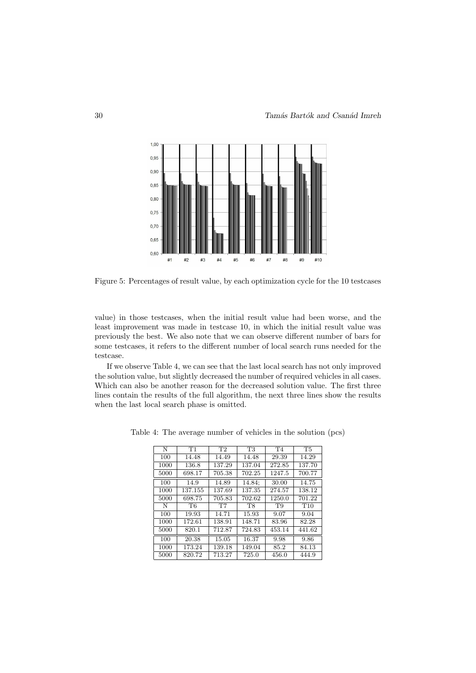

Figure 5: Percentages of result value, by each optimization cycle for the 10 testcases

value) in those testcases, when the initial result value had been worse, and the least improvement was made in testcase 10, in which the initial result value was previously the best. We also note that we can observe different number of bars for some testcases, it refers to the different number of local search runs needed for the testcase.

If we observe Table 4, we can see that the last local search has not only improved the solution value, but slightly decreased the number of required vehicles in all cases. Which can also be another reason for the decreased solution value. The first three lines contain the results of the full algorithm, the next three lines show the results when the last local search phase is omitted.

| N    | T1             | T2     | T <sub>3</sub> | T <sub>4</sub> | <b>T5</b>       |
|------|----------------|--------|----------------|----------------|-----------------|
| 100  | 14.48          | 14.49  | 14.48          | 29.39          | 14.29           |
| 1000 | 136.8          | 137.29 | 137.04         | 272.85         | 137.70          |
| 5000 | 698.17         | 705.38 | 702.25         | 1247.5         | 700.77          |
| 100  | 14.9           | 14.89  | 14.84;         | 30.00          | 14.75           |
| 1000 | 137.155        | 137.69 | 137.35         | 274.57         | 138.12          |
| 5000 | 698.75         | 705.83 | 702.62         | 1250.0         | 701.22          |
| N    | T <sub>6</sub> | T7     | T <sub>8</sub> | T9             | T <sub>10</sub> |
| 100  | 19.93          | 14.71  | 15.93          | 9.07           | 9.04            |
| 1000 | 172.61         | 138.91 | 148.71         | 83.96          | 82.28           |
| 5000 | 820.1          | 712.87 | 724.83         | 453.14         | 441.62          |
| 100  | 20.38          | 15.05  | 16.37          | 9.98           | 9.86            |
| 1000 | 173.24         | 139.18 | 149.04         | 85.2           | 84.13           |
| 5000 | 820.72         | 713.27 | 725.0          | 456.0          | 444.9           |

Table 4: The average number of vehicles in the solution (pcs)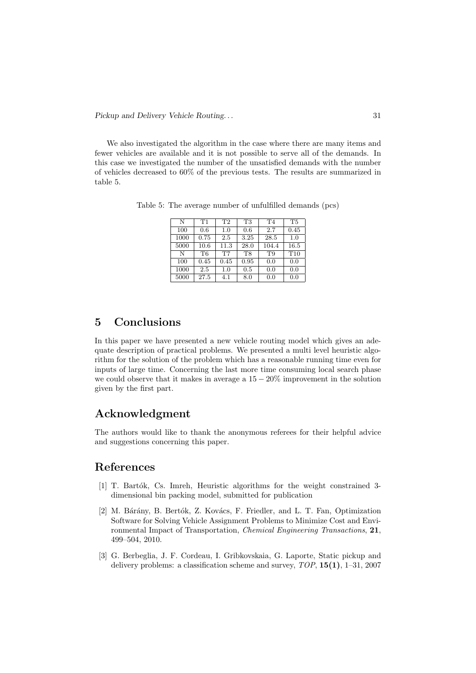We also investigated the algorithm in the case where there are many items and fewer vehicles are available and it is not possible to serve all of the demands. In this case we investigated the number of the unsatisfied demands with the number of vehicles decreased to 60% of the previous tests. The results are summarized in table 5.

Table 5: The average number of unfulfilled demands (pcs)

| N    | T1        | T <sub>2</sub> | T <sub>3</sub> | T <sub>4</sub> | T <sub>5</sub>  |
|------|-----------|----------------|----------------|----------------|-----------------|
| 100  | 0.6       | 1.0            | 0.6            | 2.7            | 0.45            |
| 1000 | 0.75      | 2.5            | 3.25           | 28.5           | 1.0             |
| 5000 | 10.6      | 11.3           | 28.0           | 104.4          | 16.5            |
| N    | <b>T6</b> | <b>T7</b>      | T <sub>8</sub> | T9             | T <sub>10</sub> |
| 100  | 0.45      | 0.45           | 0.95           | 0.0            | 0.0             |
| 1000 | 2.5       | 1.0            | 0.5            | 0.0            | 0.0             |
| 5000 | 27.5      | 4.1            | 8.0            | 0.0            | 0.0             |

# 5 Conclusions

In this paper we have presented a new vehicle routing model which gives an adequate description of practical problems. We presented a multi level heuristic algorithm for the solution of the problem which has a reasonable running time even for inputs of large time. Concerning the last more time consuming local search phase we could observe that it makes in average a  $15 - 20\%$  improvement in the solution given by the first part.

# Acknowledgment

The authors would like to thank the anonymous referees for their helpful advice and suggestions concerning this paper.

## References

- [1] T. Bartók, Cs. Imreh, Heuristic algorithms for the weight constrained 3dimensional bin packing model, submitted for publication
- [2] M. Bárány, B. Bertók, Z. Kovács, F. Friedler, and L. T. Fan, Optimization Software for Solving Vehicle Assignment Problems to Minimize Cost and Environmental Impact of Transportation, Chemical Engineering Transactions, 21, 499–504, 2010.
- [3] G. Berbeglia, J. F. Cordeau, I. Gribkovskaia, G. Laporte, Static pickup and delivery problems: a classification scheme and survey,  $TOP$ ,  $15(1)$ ,  $1-31$ ,  $2007$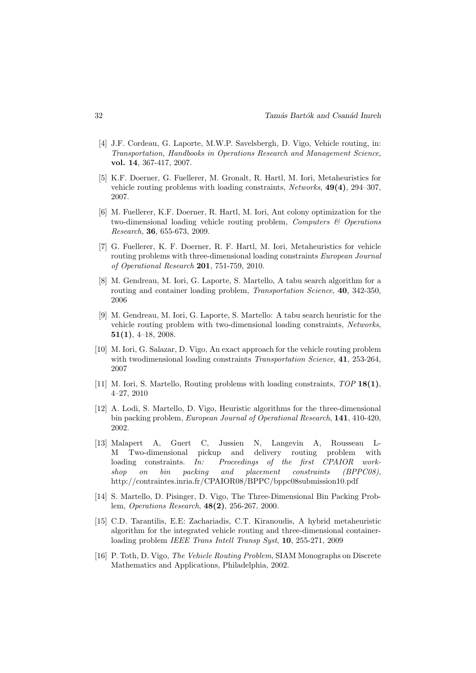- [4] J.F. Cordeau, G. Laporte, M.W.P. Savelsbergh, D. Vigo, Vehicle routing, in: Transportation, Handbooks in Operations Research and Management Science, vol. 14, 367-417, 2007.
- [5] K.F. Doerner, G. Fuellerer, M. Gronalt, R. Hartl, M. Iori, Metaheuristics for vehicle routing problems with loading constraints, Networks, 49(4), 294–307, 2007.
- [6] M. Fuellerer, K.F. Doerner, R. Hartl, M. Iori, Ant colony optimization for the two-dimensional loading vehicle routing problem, Computers  $\mathcal{C}$  Operations Research, 36, 655-673, 2009.
- [7] G. Fuellerer, K. F. Doerner, R. F. Hartl, M. Iori, Metaheuristics for vehicle routing problems with three-dimensional loading constraints European Journal of Operational Research 201, 751-759, 2010.
- [8] M. Gendreau, M. Iori, G. Laporte, S. Martello, A tabu search algorithm for a routing and container loading problem, *Transportation Science*, **40**, 342-350, 2006
- [9] M. Gendreau, M. Iori, G. Laporte, S. Martello: A tabu search heuristic for the vehicle routing problem with two-dimensional loading constraints, Networks, 51(1), 4–18, 2008.
- [10] M. Iori, G. Salazar, D. Vigo, An exact approach for the vehicle routing problem with two dimensional loading constraints *Transportation Science*, 41, 253-264, 2007
- [11] M. Iori, S. Martello, Routing problems with loading constraints,  $TOP 18(1)$ , 4–27, 2010
- [12] A. Lodi, S. Martello, D. Vigo, Heuristic algorithms for the three-dimensional bin packing problem, European Journal of Operational Research, 141, 410-420, 2002.
- [13] Malapert A, Guert C, Jussien N, Langevin A, Rousseau L-M Two-dimensional pickup and delivery routing problem with loading constraints. In: Proceedings of the first CPAIOR workshop on bin packing and placement constraints (BPPC08), http://contraintes.inria.fr/CPAIOR08/BPPC/bppc08submission10.pdf
- [14] S. Martello, D. Pisinger, D. Vigo, The Three-Dimensional Bin Packing Problem, Operations Research, 48(2), 256-267, 2000.
- [15] C.D. Tarantilis, E.E: Zachariadis, C.T. Kiranoudis, A hybrid metaheuristic algorithm for the integrated vehicle routing and three-dimensional containerloading problem IEEE Trans Intell Transp Syst, 10, 255-271, 2009
- [16] P. Toth, D. Vigo, The Vehicle Routing Problem, SIAM Monographs on Discrete Mathematics and Applications, Philadelphia, 2002.